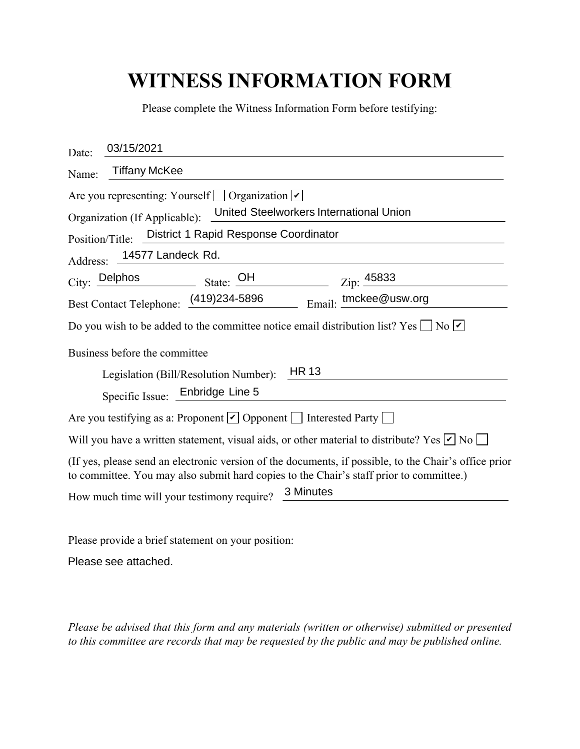## **WITNESS INFORMATION FORM**

| Please complete the Witness Information Form before testifying:                                                                                                                                  |
|--------------------------------------------------------------------------------------------------------------------------------------------------------------------------------------------------|
| 03/15/2021<br>Date:                                                                                                                                                                              |
| <b>Tiffany McKee</b><br>Name:                                                                                                                                                                    |
| Are you representing: Yourself □ Organization <b>V</b><br>United Steelworkers International Union                                                                                                |
| Organization (If Applicable):<br>District 1 Rapid Response Coordinator                                                                                                                           |
| Position/Title:                                                                                                                                                                                  |
| 14577 Landeck Rd.<br>Address:                                                                                                                                                                    |
| City: Delphos<br>State: $\frac{\text{OH}}{4}$<br>Zip: 45833                                                                                                                                      |
| Email: tmckee@usw.org<br>Best Contact Telephone: (419)234-5896                                                                                                                                   |
| Do you wish to be added to the committee notice email distribution list? Yes $\Box$ No $\Box$                                                                                                    |
| Business before the committee                                                                                                                                                                    |
| <b>HR 13</b><br>Legislation (Bill/Resolution Number):                                                                                                                                            |
| Specific Issue: Enbridge Line 5                                                                                                                                                                  |
| Are you testifying as a: Proponent $\vee$ Opponent $\Box$ Interested Party $\Box$                                                                                                                |
| Will you have a written statement, visual aids, or other material to distribute? Yes $\nu$ No $\Box$                                                                                             |
| (If yes, please send an electronic version of the documents, if possible, to the Chair's office prior<br>to committee. You may also submit hard copies to the Chair's staff prior to committee.) |
| 3 Minutes<br>How much time will your testimony require?                                                                                                                                          |

Please provide a brief statement on your position:

Please see attached.

*Please be advised that this form and any materials (written or otherwise) submitted or presented to this committee are records that may be requested by the public and may be published online.*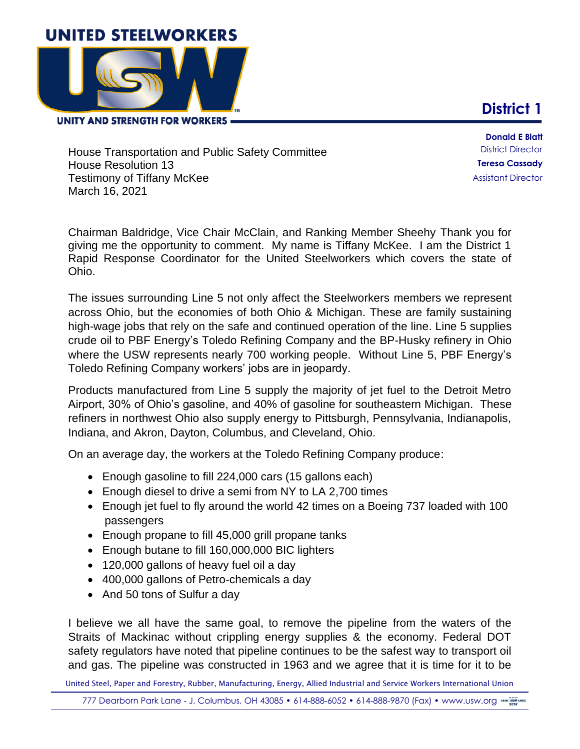## **UNITED STEELWORKERS**



**UNITY AND STRENGTH FOR WORKERS =** 

**District 1**

House Transportation and Public Safety Committee House Resolution 13 Testimony of Tiffany McKee March 16, 2021

**Donald E Blatt** District Director **Teresa Cassady** Assistant Director

Chairman Baldridge, Vice Chair McClain, and Ranking Member Sheehy Thank you for giving me the opportunity to comment. My name is Tiffany McKee. I am the District 1 Rapid Response Coordinator for the United Steelworkers which covers the state of Ohio.

The issues surrounding Line 5 not only affect the Steelworkers members we represent across Ohio, but the economies of both Ohio & Michigan. These are family sustaining high-wage jobs that rely on the safe and continued operation of the line. Line 5 supplies crude oil to PBF Energy's Toledo Refining Company and the BP-Husky refinery in Ohio where the USW represents nearly 700 working people. Without Line 5, PBF Energy's Toledo Refining Company workers' jobs are in jeopardy.

Products manufactured from Line 5 supply the majority of jet fuel to the Detroit Metro Airport, 30% of Ohio's gasoline, and 40% of gasoline for southeastern Michigan. These refiners in northwest Ohio also supply energy to Pittsburgh, Pennsylvania, Indianapolis, Indiana, and Akron, Dayton, Columbus, and Cleveland, Ohio.

On an average day, the workers at the Toledo Refining Company produce:

- Enough gasoline to fill 224,000 cars (15 gallons each)
- Enough diesel to drive a semi from NY to LA 2,700 times
- Enough jet fuel to fly around the world 42 times on a Boeing 737 loaded with 100 passengers
- Enough propane to fill 45,000 grill propane tanks
- Enough butane to fill 160,000,000 BIC lighters
- 120,000 gallons of heavy fuel oil a day
- 400,000 gallons of Petro-chemicals a day
- And 50 tons of Sulfur a day

I believe we all have the same goal, to remove the pipeline from the waters of the Straits of Mackinac without crippling energy supplies & the economy. Federal DOT safety regulators have noted that pipeline continues to be the safest way to transport oil and gas. The pipeline was constructed in 1963 and we agree that it is time for it to be

United Steel, Paper and Forestry, Rubber, Manufacturing, Energy, Allied Industrial and Service Workers International Union